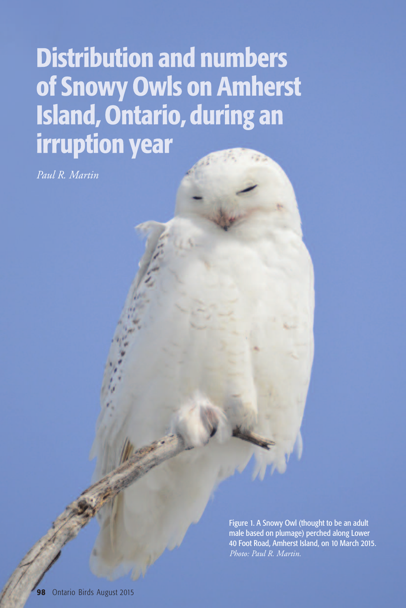# **Distribution and numbers** of Snowy Owls on Amherst **Island, Ontario, during an irruption year**

*Paul R. Martin*

Figure 1. A Snowy Owl (thought to be an adult male based on plumage) perched along Lower 40 Foot Road, Amherst Island, on 10 March 2015. *Photo: Paul R. Martin.*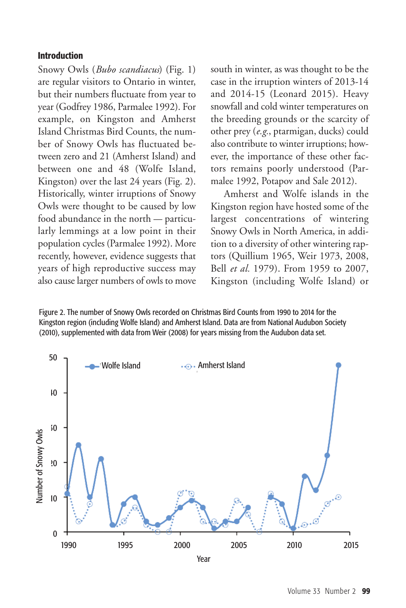## **Introduction**

Snowy Owls (*Bubo scandiacus*) (Fig. 1) are regular visitors to Ontario in winter, but their numbers fluctuate from year to year (Godfrey 1986, Parmalee 1992). For example, on Kingston and Amherst Island Christmas Bird Counts, the number of Snowy Owls has fluctuated between zero and 21 (Amherst Island) and between one and 48 (Wolfe Island, Kingston) over the last 24 years (Fig. 2). Historically, winter irruptions of Snowy Owls were thought to be caused by low food abundance in the north — particularly lemmings at a low point in their population cycles (Parmalee 1992). More recently, however, evidence suggests that years of high reproductive success may also causelarger numbers of owls to move south in winter, as was thought to be the case in the irruption winters of 2013-14 and 2014-15 (Leonard 2015). Heavy snowfall and cold winter temperatures on the breeding grounds or the scarcity of other prey (*e.g.*, ptarmigan, ducks) could also contribute to winter irruptions; however, the importance of these other factors remains poorly understood (Parmalee 1992, Potapov and Sale 2012).

Amherst and Wolfe islands in the Kingston region have hosted some of the largest concentrations of wintering Snowy Owls in North America, in addition to a diversity of other wintering raptors (Quillium 1965, Weir 1973, 2008, Bell *et al.* 1979). From 1959 to 2007, Kingston (including Wolfe Island) or

Figure 2. The number of Snowy Owls recorded on Christmas Bird Counts from 1990 to 2014 for the Kingston region (including Wolfe Island) and Amherst Island. Data are from National Audubon Society (2010), supplemented with data from Weir (2008) for years missing from the Audubon data set.

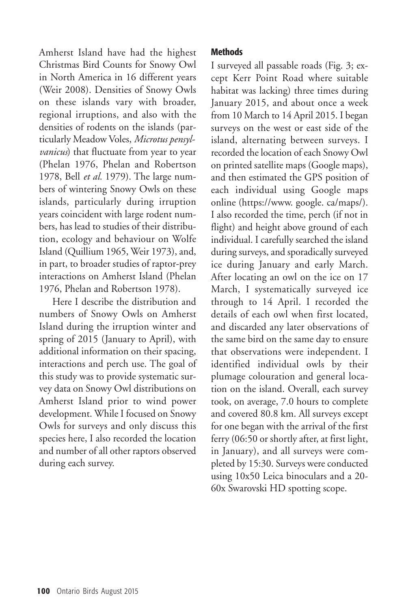Amherst Island have had the highest Christmas Bird Counts for Snowy Owl in North America in 16 different years (Weir 2008). Densities of Snowy Owls on these islands vary with broader, regional irruptions, and also with the densities of rodents on the islands (particularly Meadow Voles, *Microtus pensylvanicus*) that fluctuate from year to year (Phelan 1976, Phelan and Robertson 1978, Bell *et al.* 1979). The large numbers of wintering Snowy Owls on these islands, particularly during irruption years coincident with large rodent numbers, has lead to studies of their distribution, ecology and behaviour on Wolfe Island (Quillium 1965, Weir 1973), and, in part, to broader studies of raptor-prey interactions on Amherst Island (Phelan 1976, Phelan and Robertson 1978).

Here I describe the distribution and numbers of Snowy Owls on Amherst Island during the irruption winter and spring of 2015 (January to April), with additional information on their spacing, interactions and perch use. The goal of this study was to provide systematic survey data on Snowy Owl distributions on Amherst Island prior to wind power development. While I focused on Snowy Owls for surveys and only discuss this species here, I also recorded the location and number of all other raptors observed during each survey.

## **Methods**

I surveyed all passable roads (Fig. 3; except Kerr Point Road where suitable habitat was lacking) three times during January 2015, and about once a week from 10 March to 14 April 2015. I began surveys on the west or east side of the island, alternating between surveys. I recorded the location of each Snowy Owl on printed satellite maps (Google maps), and then estimated the GPS position of each individual using Google maps online (https://www. google. ca/maps/). I also recorded the time, perch (if not in flight) and height above ground of each individual. I carefully searched the island during surveys, and sporadically surveyed ice during January and early March. After locating an owl on the ice on 17 March, I systematically surveyed ice through to 14 April. I recorded the details of each owl when first located, and discarded any later observations of the same bird on the same day to ensure that observations were independent. I identified individual owls by their plumage colouration and general location on the island. Overall, each survey took, on average, 7.0 hours to complete and covered 80.8 km. All surveys except for one began with the arrival of the first ferry (06:50 or shortly after, at first light, in January), and all surveys were completed by 15:30. Surveys were conducted using 10x50 Leica binoculars and a 20- 60x Swarovski HD spotting scope.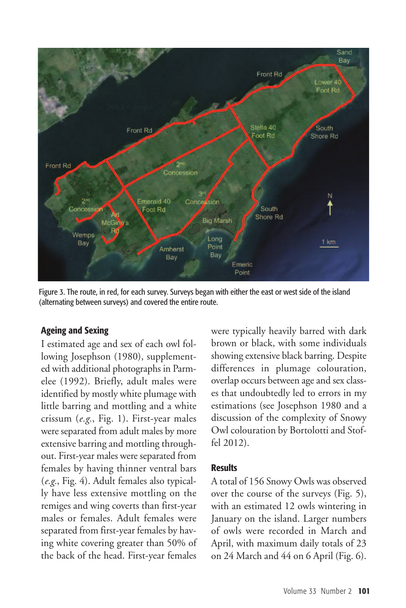

Figure 3. The route, in red, for each survey. Surveys began with either the east or west side of the island (alternating between surveys) and covered the entire route.

## **Ageing and Sexing**

I estimated age and sex of each owl following Josephson (1980), supplemented with additional photographs in Parmelee (1992). Briefly, adult males were identified by mostly white plumage with little barring and mottling and a white crissum (*e.g.*, Fig. 1). First-year males were separated from adult males by more extensive barring and mottling throughout. First-year males were separated from females by having thinner ventral bars (*e.g.*, Fig. 4). Adult females also typically have less extensive mottling on the remiges and wing coverts than first-year males or females. Adult females were separated from first-year females by having white covering greater than 50% of the back of the head. First-year females

were typically heavily barred with dark brown or black, with some individuals showing extensive black barring. Despite differences in plumage colouration, overlap occurs between age and sex classes that undoubtedly led to errors in my estimations (see Josephson 1980 and a discussion of the complexity of Snowy Owl colouration by Bortolotti and Stoffel 2012).

#### **Results**

A total of 156 Snowy Owls was observed over the course of the surveys (Fig. 5), with an estimated 12 owls wintering in January on the island. Larger numbers of owls were recorded in March and April, with maximum daily totals of 23 on 24 March and 44 on 6 April (Fig. 6).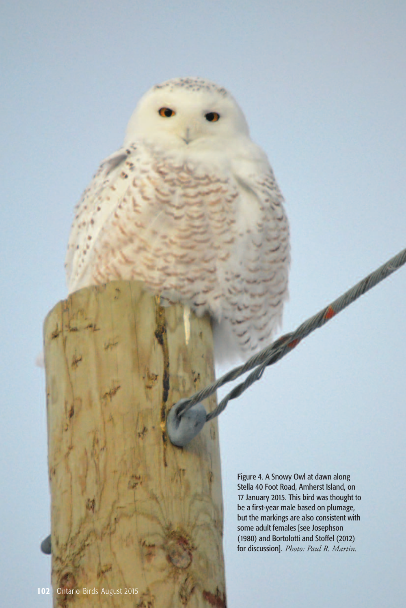Figure 4. A Snowy Owl at dawn along Stella 40 Foot Road, Amherst Island, on 17 January 2015. This bird was thought to be a first-year male based on plumage, but the markings are also consistent with some adult females [see Josephson (1980) and Bortolotti and Stoffel (2012) for discussion]. Photo: Paul R. Martin.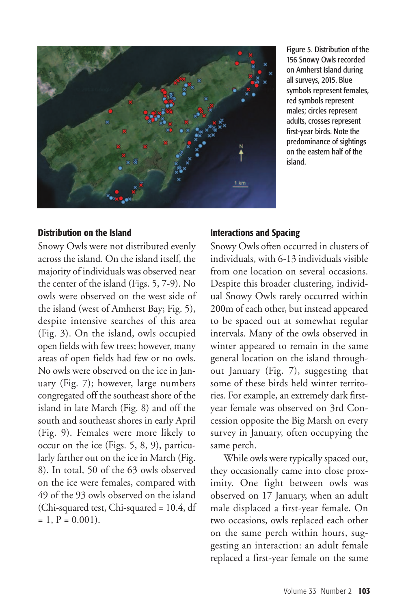

Figure 5. Distribution of the 156 Snowy Owls recorded on Amherst Island during all surveys, 2015. Blue symbols represent females, red symbols represent males; circles represent adults, crosses represent first-year birds. Note the predominance of sightings on the eastern half of the island.

#### **Distribution on the Island**

Snowy Owls were not distributed evenly across the island. On the island itself, the majority of individuals was observed near the center of the island (Figs. 5, 7-9). No owls were observed on the west side of the island (west of Amherst Bay; Fig. 5), despite intensive searches of this area (Fig. 3). On the island, owls occupied open fields with few trees; however, many areas of open fields had few or no owls. No owls were observed on the ice in January (Fig. 7); however, large numbers congregated off the southeast shore of the island in late March (Fig. 8) and off the south and southeast shores in early April (Fig. 9). Females were more likely to occur on the ice (Figs. 5, 8, 9), particularly farther out on the ice in March (Fig. 8). In total, 50 of the 63 owls observed on the ice were females, compared with 49 of the 93 owls observed on the island (Chi-squared test, Chi-squared = 10.4, df  $= 1, P = 0.001$ .

## **Interactions and Spacing**

Snowy Owls often occurred in clusters of individuals, with 6-13 individuals visible from one location on several occasions. Despite this broader clustering, individual Snowy Owls rarely occurred within 200m of each other, but instead appeared to be spaced out at somewhat regular intervals. Many of the owls observed in winter appeared to remain in the same general location on the island throughout January (Fig. 7), suggesting that some of these birds held winter territories. For example, an extremely dark firstyear female was observed on 3rd Concession opposite the Big Marsh on every survey in January, often occupying the same perch.

While owls were typically spaced out, they occasionally came into close proximity. One fight between owls was observed on 17 January, when an adult male displaced a first-year female. On two occasions, owls replaced each other on the same perch within hours, suggesting an interaction: an adult female replaced a first-year female on the same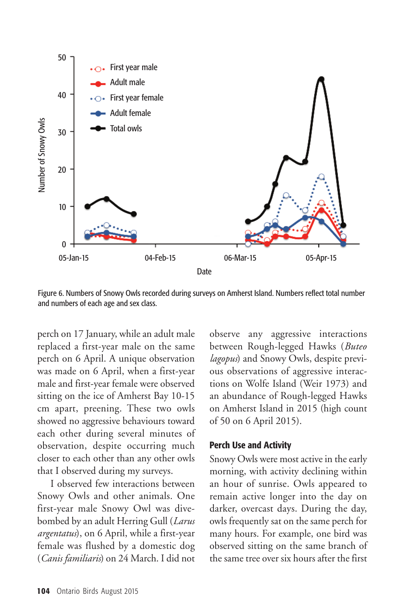

Figure 6. Numbers of Snowy Owls recorded during surveys on Amherst Island. Numbers reflect total number and numbers of each age and sex class.

perch on 17 January, while an adult male replaced a first-year male on the same perch on 6 April. A unique observation was made on 6 April, when a first-year male and first-year female were observed sitting on the ice of Amherst Bay 10-15 cm apart, preening. These two owls showed no aggressive behaviours toward each other during several minutes of observation, despite occurring much closer to each other than any other owls that I observed during my surveys.

I observed few interactions between Snowy Owls and other animals. One first-year male Snowy Owl was divebombed by an adult Herring Gull (*Larus argentatus*), on 6 April, while a first-year female was flushed by a domestic dog (*Canis familiaris*) on 24 March. I did not

observe any aggressive interactions between Rough-legged Hawks (*Buteo lagopus*) and Snowy Owls, despite previous observations of aggressive interactions on Wolfe Island (Weir 1973) and an abundance of Rough-legged Hawks on Amherst Island in 2015 (high count of 50 on 6 April 2015).

## **Perch Use and Activity**

Snowy Owls were most active in the early morning, with activity declining within an hour of sunrise. Owls appeared to remain active longer into the day on darker, overcast days. During the day, owls frequently sat on the same perch for many hours. For example, one bird was observed sitting on the same branch of the same tree over six hours after the first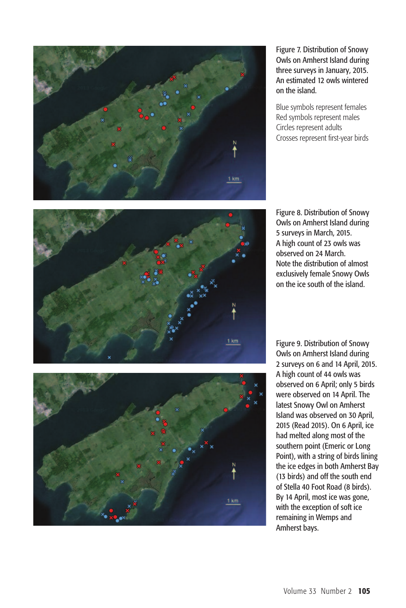

Figure 7. Distribution of Snowy Owls on Amherst Island during three surveys in January, 2015. An estimated 12 owls wintered on the island.

Blue symbols represent females Red symbols represent males Circles represent adults Crosses represent first-year birds



Figure 8. Distribution of Snowy Owls on Amherst Island during 5 surveys in March, 2015. A high count of 23 owls was observed on 24 March. Note the distribution of almost exclusively female Snowy Owls on the ice south of the island.



Figure 9. Distribution of Snowy Owls on Amherst Island during 2 surveys on 6 and 14 April, 2015. A high count of 44 owls was observed on 6 April; only 5 birds were observed on 14 April. The latest Snowy Owl on Amherst Island was observed on 30 April, 2015 (Read 2015). On 6 April, ice had melted along most of the southern point (Emeric or Long Point), with a string of birds lining the ice edges in both Amherst Bay (13 birds) and off the south end of Stella 40 Foot Road (8 birds). By 14 April, most ice was gone, with the exception of soft ice remaining in Wemps and Amherst bays.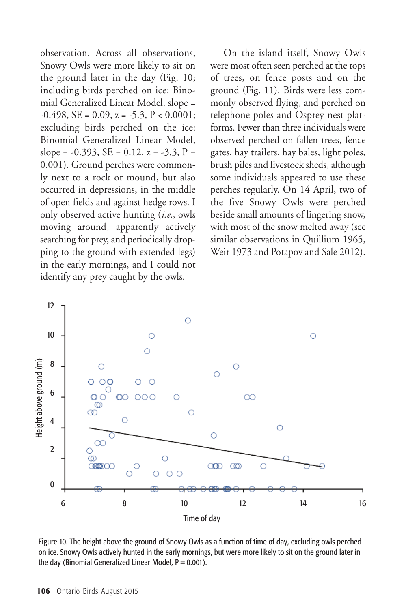observation. Across all observations, Snowy Owls were more likely to sit on the ground later in the day (Fig. 10; including birds perched on ice: Binomial Generalized Linear Model, slope =  $-0.498$ , SE = 0.09, z =  $-5.3$ , P < 0.0001; excluding birds perched on the ice: Binomial Generalized Linear Model, slope = -0.393, SE = 0.12, z = -3.3, P = 0.001). Ground perches were commonly next to a rock or mound, but also occurred in depressions, in the middle of open fields and against hedge rows. I only observed active hunting (*i.e.,* owls moving around, apparently actively searching for prey, and periodically dropping to the ground with extended legs) in the early mornings, and I could not identify any prey caught by the owls.

On the island itself, Snowy Owls were most often seen perched at the tops of trees, on fence posts and on the ground (Fig. 11). Birds were less commonly observed flying, and perched on telephone poles and Osprey nest platforms. Fewer than three individuals were observed perched on fallen trees, fence gates, hay trailers, hay bales, light poles, brush piles and livestock sheds, although some individuals appeared to use these perches regularly. On 14 April, two of the five Snowy Owls were perched beside small amounts of lingering snow, with most of the snow melted away (see similar observations in Quillium 1965, Weir 1973 and Potapov and Sale 2012).



Figure 10. The height above the ground of Snowy Owls as a function of time of day, excluding owls perched on ice. Snowy Owls actively hunted in the early mornings, but were more likely to sit on the ground later in the day (Binomial Generalized Linear Model,  $P = 0.001$ ).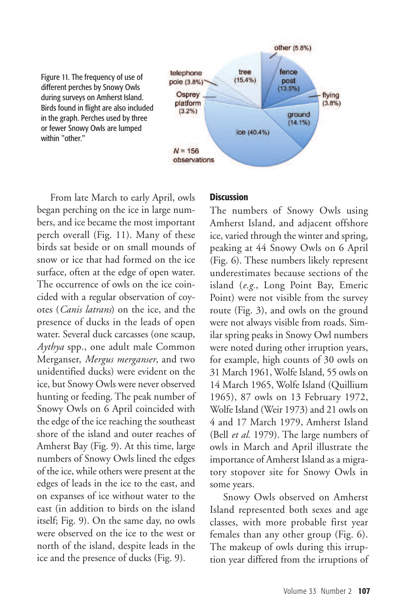

From late March to early April, owls began perching on the ice in large numbers, and ice became the most important perch overall (Fig. 11). Many of these birds sat beside or on small mounds of snow or ice that had formed on the ice surface, often at the edge of open water. The occurrence of owls on the ice coincided with a regular observation of coyotes (*Canis latrans*) on the ice, and the presence of ducks in the leads of open water. Several duck carcasses (one scaup, *Aythya* spp., one adult male Common Merganser, *Mergus merganser*, and two unidentified ducks) were evident on the ice, but Snowy Owls were never observed hunting or feeding. The peak number of Snowy Owls on 6 April coincided with the edge of the ice reaching the southeast shore of the island and outer reaches of Amherst Bay (Fig. 9). At this time, large numbers of Snowy Owls lined the edges of the ice, while others were present at the edges of leads in the ice to the east, and on expanses of ice without water to the east (in addition to birds on the island itself; Fig. 9). On the same day, no owls were observed on the ice to the west or north of the island, despite leads in the ice and the presence of ducks (Fig. 9).

#### **Discussion**

The numbers of Snowy Owls using Amherst Island, and adjacent offshore ice, varied through the winter and spring, peaking at 44 Snowy Owls on 6 April (Fig. 6). These numbers likely represent underestimates because sections of the island (*e.g.*, Long Point Bay, Emeric Point) were not visible from the survey route (Fig. 3), and owls on the ground were not always visible from roads. Similar spring peaks in Snowy Owl numbers were noted during other irruption years, for example, high counts of 30 owls on 31 March 1961, Wolfe Island, 55 owls on 14 March 1965, Wolfe Island (Quillium 1965), 87 owls on 13 February 1972, Wolfe Island (Weir 1973) and 21 owls on 4 and 17 March 1979, Amherst Island (Bell *et al.* 1979). The large numbers of owls in March and April illustrate the importance of Amherst Island as a migratory stopover site for Snowy Owls in some years.

Snowy Owls observed on Amherst Island represented both sexes and age classes, with more probable first year females than any other group (Fig. 6). The makeup of owls during this irruption year differed from the irruptions of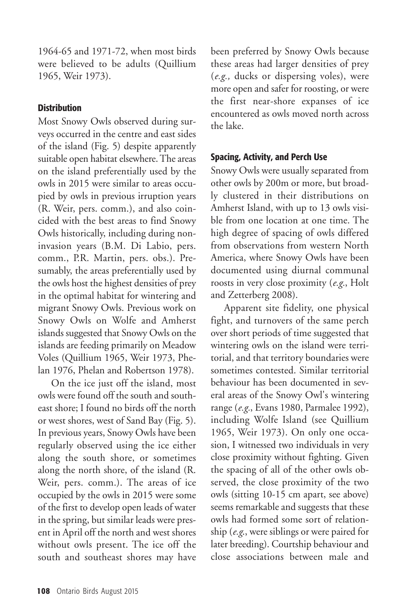1964-65 and 1971-72, when most birds were believed to be adults (Quillium 1965, Weir 1973).

## **Distribution**

Most Snowy Owls observed during surveys occurred in the centre and east sides of the island (Fig. 5) despite apparently suitable open habitat elsewhere. The areas on the island preferentially used by the owls in 2015 were similar to areas occupied by owls in previous irruption years (R. Weir, pers. comm.), and also coincided with the best areas to find Snowy Owls historically, including during noninvasion years (B.M. Di Labio, pers. comm., P.R. Martin, pers. obs.). Presumably, the areas preferentially used by the owls host the highest densities of prey in the optimal habitat for wintering and migrant Snowy Owls. Previous work on Snowy Owls on Wolfe and Amherst islands suggested that Snowy Owls on the islands are feeding primarily on Meadow Voles (Quillium 1965, Weir 1973, Phelan 1976, Phelan and Robertson 1978).

On the ice just off the island, most owls were found off the south and southeast shore; I found no birds off the north or west shores, west of Sand Bay (Fig. 5). In previous years, Snowy Owls have been regularly observed using the ice either along the south shore, or sometimes along the north shore, of the island (R. Weir, pers. comm.). The areas of ice occupied by the owls in 2015 were some of the first to develop open leads of water in the spring, but similar leads were present in April off the north and west shores without owls present. The ice off the south and southeast shores may have

been preferred by Snowy Owls because these areas had larger densities of prey (*e.g.,* ducks or dispersing voles), were more open and safer for roosting, or were the first near-shore expanses of ice encountered as owls moved north across the lake.

# **Spacing, Activity, and Perch Use**

Snowy Owls were usually separated from other owls by 200m or more, but broadly clustered in their distributions on Amherst Island, with up to 13 owls visible from one location at one time. The high degree of spacing of owls differed from observations from western North America, where Snowy Owls have been documented using diurnal communal roosts in very close proximity (*e.g.*, Holt and Zetterberg 2008).

Apparent site fidelity, one physical fight, and turnovers of the same perch over short periods of time suggested that wintering owls on the island were territorial, and that territory boundaries were sometimes contested. Similar territorial behaviour has been documented in several areas of the Snowy Owl's wintering range (*e.g.*, Evans 1980, Parmalee 1992), including Wolfe Island (see Quillium 1965, Weir 1973). On only one occasion, I witnessed two individuals in very close proximity without fighting. Given the spacing of all of the other owls observed, the close proximity of the two owls (sitting 10-15 cm apart, see above) seems remarkable and suggests that these owls had formed some sort of relationship (*e.g*., were siblings or were paired for later breeding). Courtship behaviour and close associations between male and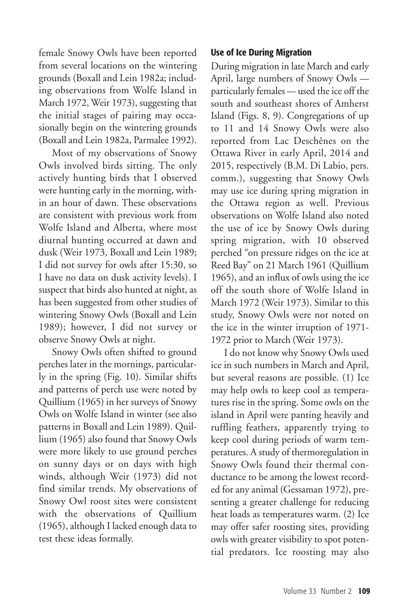female Snowy Owls have been reported from several locations on the wintering grounds (Boxall and Lein 1982a; including observations from Wolfe Island in March 1972, Weir 1973), suggesting that the initial stages of pairing may occasionally begin on the wintering grounds (Boxall and Lein 1982a, Parmalee 1992).

Most of my observations of Snowy Owls involved birds sitting. The only actively hunting birds that I observed were hunting early in the morning, within an hour of dawn. These observations are consistent with previous work from Wolfe Island and Alberta, where most diurnal hunting occurred at dawn and dusk (Weir 1973, Boxall and Lein 1989; I did not survey for owls after 15:30, so I have no data on dusk activity levels). I suspect that birds also hunted at night, as has been suggested from other studies of wintering Snowy Owls (Boxall and Lein 1989); however, I did not survey or observe Snowy Owls at night.

Snowy Owls often shifted to ground perches later in the mornings, particularly in the spring (Fig. 10). Similar shifts and patterns of perch use were noted by Quillium (1965) in her surveys of Snowy Owls on Wolfe Island in winter (see also patterns in Boxall and Lein 1989). Quillium (1965) also found that Snowy Owls were more likely to use ground perches on sunny days or on days with high winds, although Weir (1973) did not find similar trends. My observations of Snowy Owl roost sites were consistent with the observations of Quillium (1965), although I lacked enough data to test these ideas formally.

## **Use of Ice During Migration**

During migration in late March and early April, large numbers of Snowy Owls particularly females — used the ice off the south and southeast shores of Amherst Island (Figs. 8, 9). Congregations of up to 11 and 14 Snowy Owls were also reported from Lac Deschênes on the Ottawa River in early April, 2014 and 2015, respectively (B.M. Di Labio, pers. comm.), suggesting that Snowy Owls may use ice during spring migration in the Ottawa region as well. Previous observations on Wolfe Island also noted the use of ice by Snowy Owls during spring migration, with 10 observed perched "on pressure ridges on the ice at Reed Bay" on 21 March 1961 (Quillium 1965), and an influx of owls using the ice off the south shore of Wolfe Island in March 1972 (Weir 1973). Similar to this study, Snowy Owls were not noted on the ice in the winter irruption of 1971- 1972 prior to March (Weir 1973).

I do not know why Snowy Owls used ice in such numbers in March and April, but several reasons are possible. (1) Ice may help owls to keep cool as temperatures rise in the spring. Some owls on the island in April were panting heavily and ruffling feathers, apparently trying to keep cool during periods of warm temperatures. A study of thermoregulation in Snowy Owls found their thermal conductance to be among the lowest recorded for any animal (Gessaman 1972), presenting a greater challenge for reducing heat loads as temperatures warm. (2) Ice may offer safer roosting sites, providing owls with greater visibility to spot potential predators. Ice roosting may also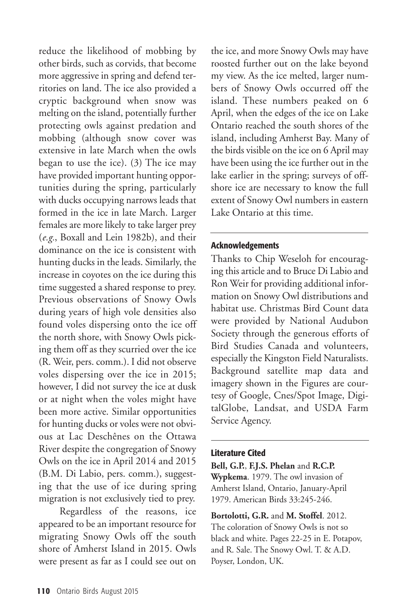reduce the likelihood of mobbing by other birds, such as corvids, that become more aggressive in spring and defend territories on land. The ice also provided a cryptic background when snow was melting on the island, potentially further protecting owls against predation and mobbing (although snow cover was extensive in late March when the owls began to use the ice). (3) The ice may have provided important hunting opportunities during the spring, particularly with ducks occupying narrows leads that formed in the ice in late March. Larger females are more likely to take larger prey (*e.g.*, Boxall and Lein 1982b), and their dominance on the ice is consistent with hunting ducks in the leads. Similarly, the increase in coyotes on the ice during this time suggested a shared response to prey. Previous observations of Snowy Owls during years of high vole densities also found voles dispersing onto the ice off the north shore, with Snowy Owls picking them off as they scurried over the ice (R. Weir, pers. comm.). I did not observe voles dispersing over the ice in 2015; however, I did not survey the ice at dusk or at night when the voles might have been more active. Similar opportunities for hunting ducks or voles were not obvious at Lac Deschênes on the Ottawa River despite the congregation of Snowy Owls on the ice in April 2014 and 2015 (B.M. Di Labio, pers. comm.), suggesting that the use of ice during spring migration is not exclusively tied to prey.

Regardless of the reasons, ice appeared to be an important resource for migrating Snowy Owls off the south shore of Amherst Island in 2015. Owls were present as far as I could see out on

the ice, and more Snowy Owls may have roosted further out on the lake beyond my view. As the ice melted, larger numbers of Snowy Owls occurred off the island. These numbers peaked on 6 April, when the edges of the ice on Lake Ontario reached the south shores of the island, including Amherst Bay. Many of the birds visible on the ice on 6 April may have been using the ice further out in the lake earlier in the spring; surveys of offshore ice are necessary to know the full extent of Snowy Owl numbers in eastern Lake Ontario at this time.

#### **Acknowledgements**

Thanks to Chip Weseloh for encouraging this article and to Bruce Di Labio and Ron Weir for providing additional information on Snowy Owl distributions and habitat use. Christmas Bird Count data were provided by National Audubon Society through the generous efforts of Bird Studies Canada and volunteers, especially the Kingston Field Naturalists. Background satellite map data and imagery shown in the Figures are courtesy of Google, Cnes/Spot Image, DigitalGlobe, Landsat, and USDA Farm Service Agency.

## **Literature Cited**

**Bell, G.P.**, **F.J.S. Phelan** and **R.C.P. Wypkema**. 1979. The owl invasion of Amherst Island, Ontario, January-April 1979. American Birds 33:245-246.

**Bortolotti, G.R.** and **M. Stoffel**. 2012. The coloration of Snowy Owls is not so black and white. Pages 22-25 in E. Potapov, and R. Sale. The Snowy Owl. T. & A.D. Poyser, London, UK.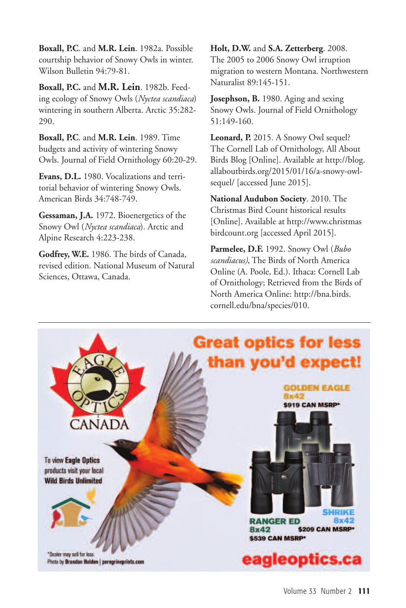**Boxall, P.C**. and **M.R. Lein**. 1982a. Possible courtship behavior of Snowy Owls in winter. Wilson Bulletin 94:79-81.

**Boxall, P.C.** and **M.R. Lein**. 1982b. Feeding ecology of Snowy Owls (*Nyctea scandiaca*) wintering in southern Alberta. Arctic 35:282- 290.

**Boxall, P.C**. and **M.R. Lein**. 1989. Time budgets and activity of wintering Snowy Owls. Journal of Field Ornithology 60:20-29.

**Evans, D.L.** 1980. Vocalizations and territorial behavior of wintering Snowy Owls. American Birds 34:748-749.

**Gessaman, J.A.** 1972. Bioenergetics of the Snowy Owl (*Nyctea scandiaca*). Arctic and Alpine Research 4:223-238.

**Godfrey, W.E.** 1986. The birds of Canada, revised edition. National Museum of Natural Sciences, Ottawa, Canada.

**Holt, D.W.** and **S.A. Zetterberg**. 2008. The 2005 to 2006 Snowy Owl irruption migration to western Montana. Northwestern Naturalist 89:145-151.

**Josephson, B.** 1980. Aging and sexing Snowy Owls. Journal of Field Ornithology 51:149-160.

**Leonard, P.** 2015. A Snowy Owl sequel? The Cornell Lab of Ornithology, All About Birds Blog [Online]. Available at http://blog. allaboutbirds.org/2015/01/16/a-snowy-owlsequel/ [accessed June 2015].

**National Audubon Society**. 2010. The Christmas Bird Count historical results [Online]. Available at http://www.christmas birdcount.org [accessed April 2015].

**Parmelee, D.F.** 1992. Snowy Owl (*Bubo scandiacus)*, The Birds of North America Online (A. Poole, Ed.). Ithaca: Cornell Lab of Ornithology; Retrieved from the Birds of North America Online: http://bna.birds. cornell.edu/bna/species/010.